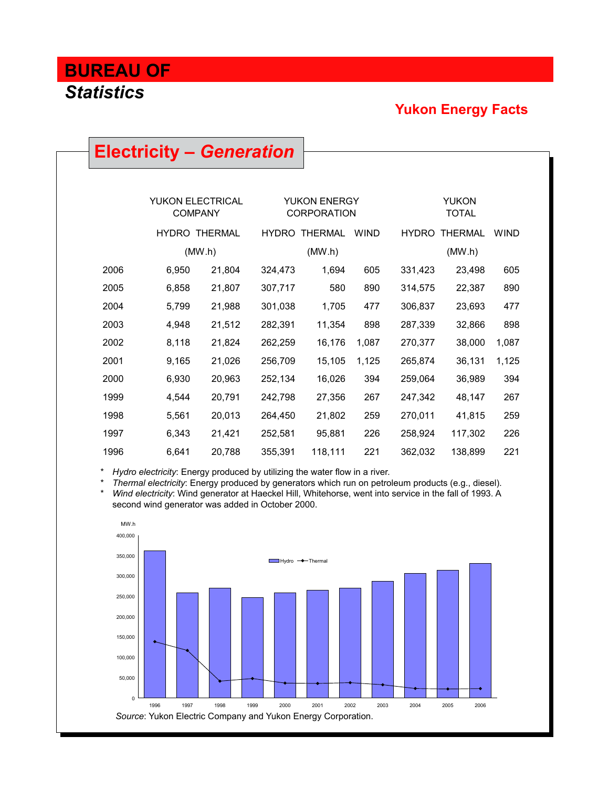### **Yukon Energy Facts**

|                                           | <b>Electricity – Generation</b> |                      |                                           |                      |                              |              |                |             |  |
|-------------------------------------------|---------------------------------|----------------------|-------------------------------------------|----------------------|------------------------------|--------------|----------------|-------------|--|
|                                           |                                 |                      |                                           |                      |                              |              |                |             |  |
|                                           |                                 |                      |                                           |                      |                              |              |                |             |  |
| <b>YUKON ELECTRICAL</b><br><b>COMPANY</b> |                                 |                      | <b>YUKON ENERGY</b><br><b>CORPORATION</b> |                      | <b>YUKON</b><br><b>TOTAL</b> |              |                |             |  |
|                                           |                                 | <b>HYDRO THERMAL</b> |                                           | <b>HYDRO THERMAL</b> | <b>WIND</b>                  | <b>HYDRO</b> | <b>THERMAL</b> | <b>WIND</b> |  |
|                                           |                                 | (MW.h)               |                                           | (MW.h)               |                              |              | (MW.h)         |             |  |
| 2006                                      | 6,950                           | 21,804               | 324,473                                   | 1,694                | 605                          | 331,423      | 23,498         | 605         |  |
| 2005                                      | 6,858                           | 21,807               | 307,717                                   | 580                  | 890                          | 314,575      | 22,387         | 890         |  |
| 2004                                      | 5,799                           | 21,988               | 301,038                                   | 1,705                | 477                          | 306,837      | 23,693         | 477         |  |
| 2003                                      | 4,948                           | 21,512               | 282,391                                   | 11,354               | 898                          | 287,339      | 32,866         | 898         |  |
| 2002                                      | 8,118                           | 21,824               | 262,259                                   | 16,176               | 1,087                        | 270,377      | 38,000         | 1,087       |  |
| 2001                                      | 9,165                           | 21,026               | 256,709                                   | 15,105               | 1,125                        | 265,874      | 36,131         | 1,125       |  |
| 2000                                      | 6,930                           | 20,963               | 252,134                                   | 16,026               | 394                          | 259,064      | 36,989         | 394         |  |
| 1999                                      | 4,544                           | 20,791               | 242,798                                   | 27,356               | 267                          | 247,342      | 48,147         | 267         |  |
| 1998                                      | 5,561                           | 20,013               | 264,450                                   | 21,802               | 259                          | 270,011      | 41,815         | 259         |  |
| 1997                                      | 6,343                           | 21,421               | 252,581                                   | 95,881               | 226                          | 258,924      | 117,302        | 226         |  |
| 1996                                      | 6,641                           | 20,788               | 355,391                                   | 118,111              | 221                          | 362,032      | 138,899        | 221         |  |

Hydro electricity: Energy produced by utilizing the water flow in a river.

\* *Thermal electricity*: Energy produced by generators which run on petroleum products (e.g., diesel). Wind electricity: Wind generator at Haeckel Hill, Whitehorse, went into service in the fall of 1993. A

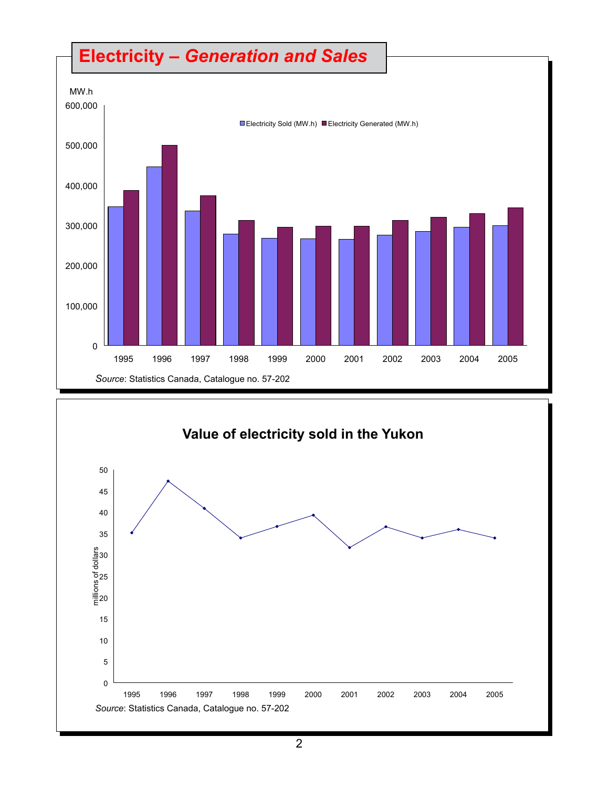



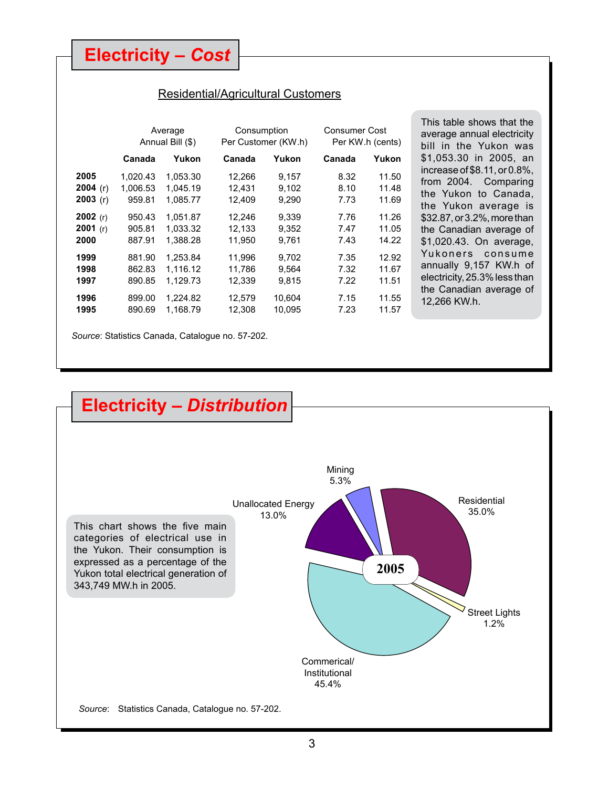### **Electricity –** *Cost*

#### Residential/Agricultural Customers

This table shows that the average annual electricity bill in the Yukon was \$1,053.30 in 2005, an increase of \$8.11, or 0.8%, from 2004. Comparing the Yukon to Canada, the Yukon average is \$32.87, or 3.2%, more than the Canadian average of \$1,020.43. On average, Yukoners consume annually 9,157 KW.h of electricity, 25.3% less than the Canadian average of

12,266 KW.h.

|            | Average<br>Annual Bill (\$) |          |        | Consumption<br>Per Customer (KW.h) |        | <b>Consumer Cost</b><br>Per KW.h (cents) |
|------------|-----------------------------|----------|--------|------------------------------------|--------|------------------------------------------|
|            | Canada                      | Yukon    | Canada | Yukon                              | Canada | Yukon                                    |
| 2005       | 1.020.43                    | 1.053.30 | 12,266 | 9,157                              | 8.32   | 11.50                                    |
| 2004 $(r)$ | 1,006.53                    | 1,045.19 | 12,431 | 9,102                              | 8.10   | 11.48                                    |
| 2003(r)    | 959.81                      | 1,085.77 | 12,409 | 9,290                              | 7.73   | 11.69                                    |
| $2002$ (r) | 950.43                      | 1,051.87 | 12,246 | 9,339                              | 7.76   | 11.26                                    |
| $2001$ (r) | 905.81                      | 1.033.32 | 12,133 | 9,352                              | 7.47   | 11.05                                    |
| 2000       | 887.91                      | 1,388.28 | 11.950 | 9.761                              | 7.43   | 14.22                                    |
| 1999       | 881.90                      | 1,253.84 | 11,996 | 9,702                              | 7.35   | 12.92                                    |
| 1998       | 862.83                      | 1,116.12 | 11,786 | 9,564                              | 7.32   | 11.67                                    |
| 1997       | 890.85                      | 1,129.73 | 12,339 | 9,815                              | 7.22   | 11.51                                    |
| 1996       | 899.00                      | 1,224.82 | 12,579 | 10,604                             | 7.15   | 11.55                                    |
| 1995       | 890.69                      | 1,168.79 | 12,308 | 10,095                             | 7.23   | 11.57                                    |

*Source*: Statistics Canada, Catalogue no. 57-202.

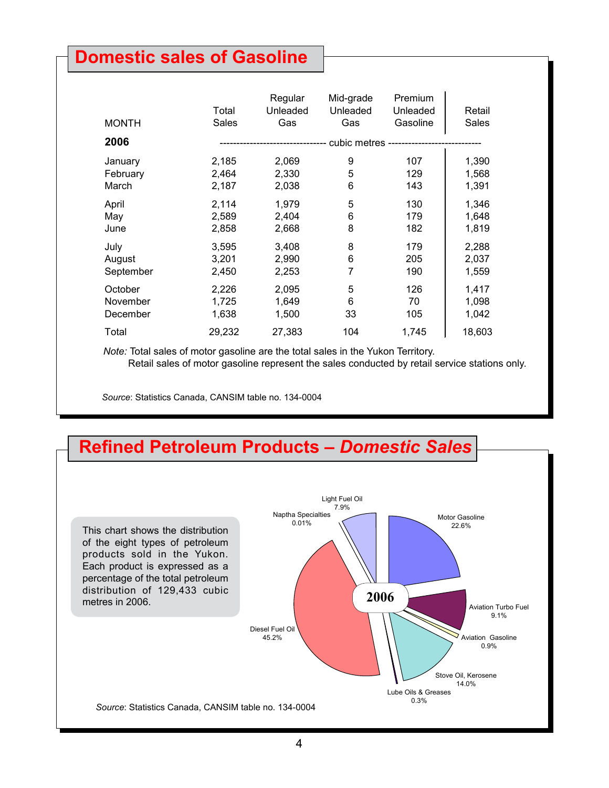## **Domestic sales of Gasoline**

| <b>MONTH</b> | Total<br>Sales | Regular<br>Unleaded<br>Gas | Mid-grade<br>Unleaded<br>Gas | Premium<br>Unleaded<br>Gasoline | Retail<br>Sales |
|--------------|----------------|----------------------------|------------------------------|---------------------------------|-----------------|
| 2006         |                |                            |                              |                                 |                 |
| January      | 2,185          | 2,069                      | 9                            | 107                             | 1,390           |
| February     | 2,464          | 2,330                      | 5                            | 129                             | 1,568           |
| March        | 2,187          | 2,038                      | 6                            | 143                             | 1,391           |
| April        | 2,114          | 1,979                      | 5                            | 130                             | 1,346           |
| May          | 2,589          | 2,404                      | 6                            | 179                             | 1,648           |
| June         | 2,858          | 2,668                      | 8                            | 182                             | 1,819           |
| July         | 3,595          | 3,408                      | 8                            | 179                             | 2,288           |
| August       | 3,201          | 2,990                      | 6                            | 205                             | 2,037           |
| September    | 2,450          | 2,253                      | 7                            | 190                             | 1,559           |
| October      | 2,226          | 2,095                      | 5                            | 126                             | 1,417           |
| November     | 1,725          | 1,649                      | 6                            | 70                              | 1,098           |
| December     | 1,638          | 1,500                      | 33                           | 105                             | 1,042           |
| Total        | 29,232         | 27,383                     | 104                          | 1,745                           | 18,603          |

 *Note:* Total sales of motor gasoline are the total sales in the Yukon Territory. Retail sales of motor gasoline represent the sales conducted by retail service stations only.

*Source*: Statistics Canada, CANSIM table no. 134-0004

## **Refined Petroleum Products –** *Domestic Sales*

This chart shows the distribution of the eight types of petroleum products sold in the Yukon. Each product is expressed as a percentage of the total petroleum distribution of 129,433 cubic metres in 2006.

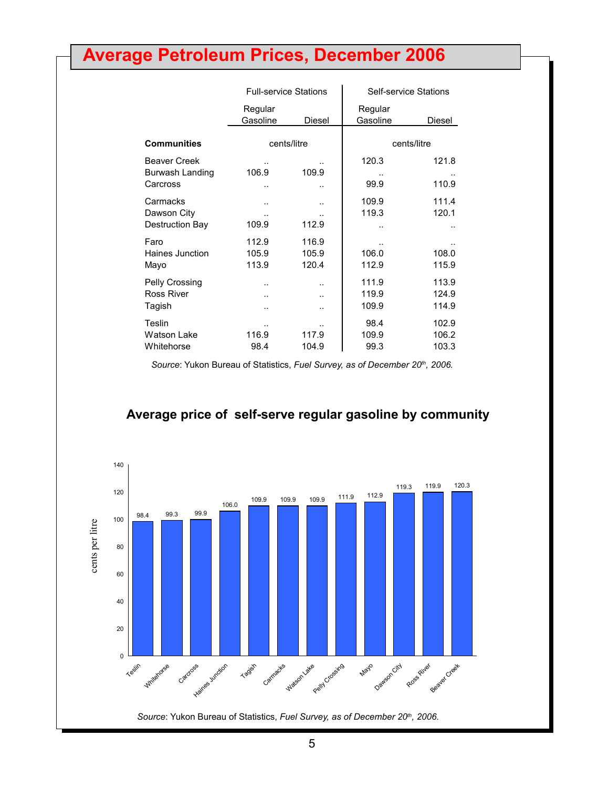# **Average Petroleum Prices, December 2006**

|                                                    | <b>Full-service Stations</b>                        |                         |                         | <b>Self-service Stations</b> |  |  |
|----------------------------------------------------|-----------------------------------------------------|-------------------------|-------------------------|------------------------------|--|--|
|                                                    | Regular<br>Gasoline                                 | Diesel                  | Regular<br>Gasoline     | Diesel                       |  |  |
| <b>Communities</b>                                 | cents/litre                                         |                         |                         | cents/litre                  |  |  |
| <b>Beaver Creek</b><br>Burwash Landing<br>Carcross | 106.9<br>                                           | 109.9<br>. .            | 120.3<br>99.9           | 121.8<br>110.9               |  |  |
| Carmacks<br>Dawson City<br><b>Destruction Bay</b>  | <br><br>109.9                                       | <br><br>112.9           | 109.9<br>119.3          | 111.4<br>120.1               |  |  |
| Faro<br>Haines Junction<br>Mayo                    | 112.9<br>105.9<br>113.9                             | 116.9<br>105.9<br>120.4 | 106.0<br>112.9          | 108.0<br>115.9               |  |  |
| Pelly Crossing<br><b>Ross River</b><br>Tagish      | $\ddot{\phantom{a}}$<br>$\ddot{\phantom{a}}$<br>. . | <br><br>. .             | 111.9<br>119.9<br>109.9 | 113.9<br>124.9<br>114.9      |  |  |
| Teslin<br><b>Watson Lake</b><br>Whitehorse         | 116.9<br>98.4                                       | 117.9<br>104.9          | 98.4<br>109.9<br>99.3   | 102.9<br>106.2<br>103.3      |  |  |

Source: Yukon Bureau of Statistics, *Fuel Survey, as of December 20<sup>th</sup>, 2006*.



#### **Average price of self-serve regular gasoline by community**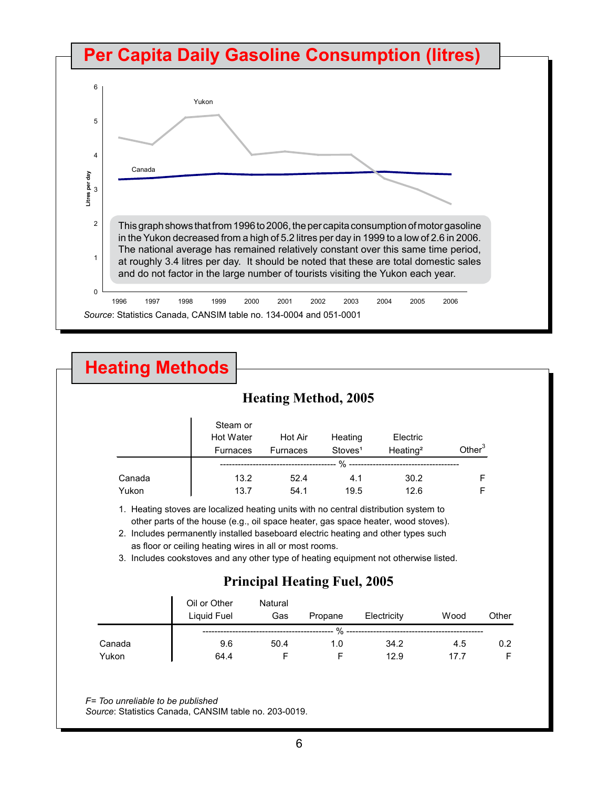

# **Heating Methods**

### **Heating Method, 2005**

|        | Steam or<br><b>Hot Water</b><br><b>Furnaces</b> | Hot Air<br>Furnaces | Heating<br>Stoves <sup>1</sup> | Electric<br>Heating <sup>2</sup> | Other $3$ |
|--------|-------------------------------------------------|---------------------|--------------------------------|----------------------------------|-----------|
|        |                                                 |                     | $\%$ --                        |                                  |           |
| Canada | 13.2                                            | 52.4                | 4.1                            | 30.2                             |           |
| Yukon  | 13.7                                            | 54.1                | 19.5                           | 12.6                             |           |

1. Heating stoves are localized heating units with no central distribution system to other parts of the house (e.g., oil space heater, gas space heater, wood stoves).

2. Includes permanently installed baseboard electric heating and other types such as floor or ceiling heating wires in all or most rooms.

3. Includes cookstoves and any other type of heating equipment not otherwise listed.

### **Principal Heating Fuel, 2005**

|        | Oil or Other<br>Liquid Fuel | Natural<br>Gas | Propane | Electricity | Wood | Other |
|--------|-----------------------------|----------------|---------|-------------|------|-------|
|        |                             |                | %       |             |      |       |
| Canada | 9.6                         | 50.4           | 1.0     | 34.2        | 4.5  | 0.2   |
| Yukon  | 64.4                        |                |         | 12.9        | 17.7 |       |

*F= Too unreliable to be published*

*Source*: Statistics Canada, CANSIM table no. 203-0019.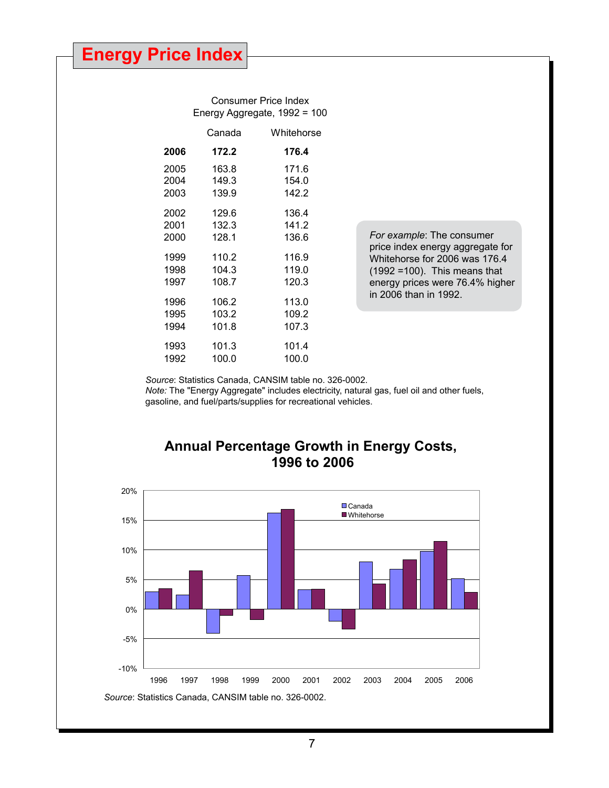Consumer Price Index Energy Aggregate, 1992 = 100

|      | Canada | Whitehorse |
|------|--------|------------|
| 2006 | 172.2  | 176.4      |
| 2005 | 163.8  | 171.6      |
| 2004 | 149.3  | 154.0      |
| 2003 | 139.9  | 142.2      |
| 2002 | 129.6  | 136.4      |
| 2001 | 132.3  | 141.2      |
| 2000 | 128.1  | 136.6      |
| 1999 | 110.2  | 116.9      |
| 1998 | 104.3  | 119.0      |
| 1997 | 108.7  | 120.3      |
| 1996 | 106.2  | 113.0      |
| 1995 | 103.2  | 109.2      |
| 1994 | 101.8  | 107.3      |
| 1993 | 101.3  | 101.4      |
| 1992 | 100.0  | 100.0      |
|      |        |            |

*For example*: The consumer price index energy aggregate for Whitehorse for 2006 was 176.4 (1992 =100). This means that energy prices were 76.4% higher in 2006 than in 1992.

*Source*: Statistics Canada, CANSIM table no. 326-0002.

*Note:* The "Energy Aggregate" includes electricity, natural gas, fuel oil and other fuels, gasoline, and fuel/parts/supplies for recreational vehicles.

### **Annual Percentage Growth in Energy Costs, 1996 to 2006**